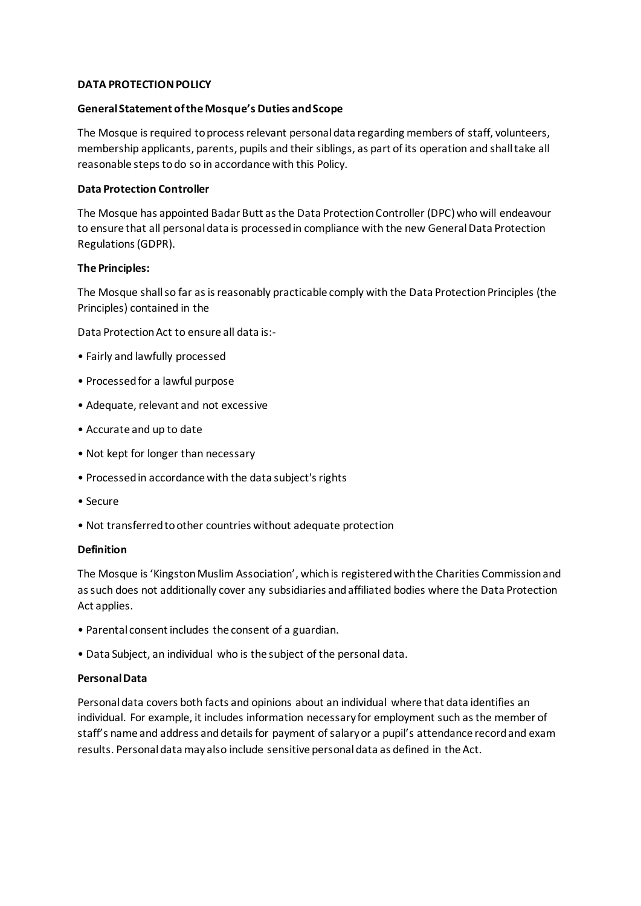#### **DATA PROTECTION POLICY**

### **General Statement of the Mosque's Duties and Scope**

The Mosque is required to process relevant personal data regarding members of staff, volunteers, membership applicants, parents, pupils and their siblings, as part of its operation and shall take all reasonable steps to do so in accordance with this Policy.

## **Data Protection Controller**

The Mosque has appointed Badar Butt as the Data Protection Controller (DPC) who will endeavour to ensure that all personal data is processed in compliance with the new General Data Protection Regulations (GDPR).

## **The Principles:**

The Mosque shall so far as is reasonably practicable comply with the Data Protection Principles (the Principles) contained in the

Data Protection Act to ensure all data is:-

- Fairly and lawfully processed
- Processed for a lawful purpose
- Adequate, relevant and not excessive
- Accurate and up to date
- Not kept for longer than necessary
- Processed in accordance with the data subject's rights
- Secure
- Not transferred to other countries without adequate protection

#### **Definition**

The Mosque is 'Kingston Muslim Association', which is registered with the Charities Commission and assuch does not additionally cover any subsidiaries and affiliated bodies where the Data Protection Act applies.

- Parental consent includes the consent of a guardian.
- Data Subject, an individual who is the subject of the personal data.

#### **Personal Data**

Personal data covers both facts and opinions about an individual where that data identifies an individual. For example, it includes information necessary for employment such as the member of staff's name and address and details for payment of salary or a pupil's attendance record and exam results. Personal data may also include sensitive personal data as defined in the Act.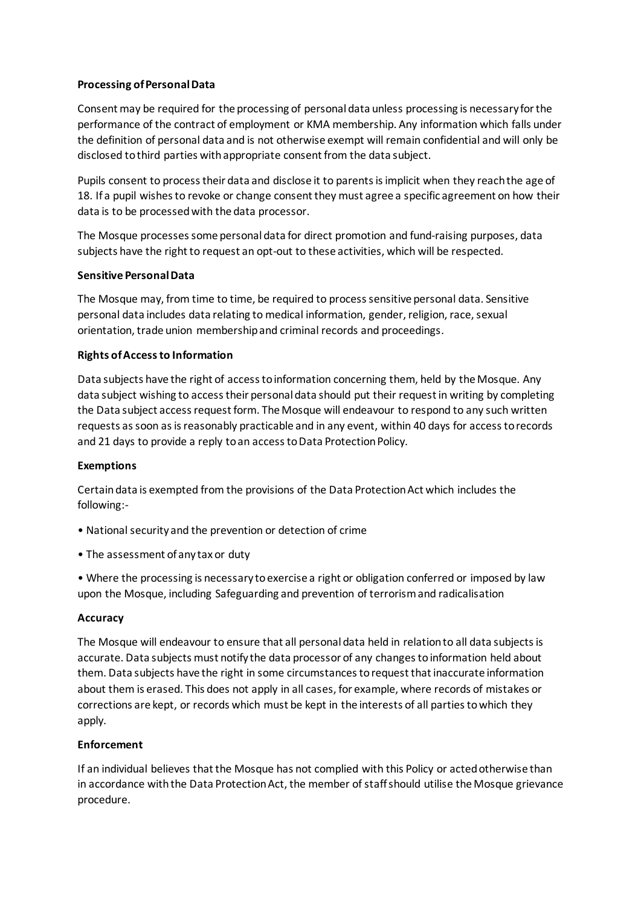## **Processing of Personal Data**

Consent may be required for the processing of personal data unless processing is necessary for the performance of the contract of employment or KMA membership. Any information which falls under the definition of personal data and is not otherwise exempt will remain confidential and will only be disclosed to third parties with appropriate consent from the data subject.

Pupils consent to process their data and disclose it to parents is implicit when they reach the age of 18. If a pupil wishes to revoke or change consent they must agree a specific agreement on how their data is to be processed with the data processor.

The Mosque processes some personal data for direct promotion and fund-raising purposes, data subjects have the right to request an opt-out to these activities, which will be respected.

#### **Sensitive Personal Data**

The Mosque may, from time to time, be required to process sensitive personal data. Sensitive personal data includes data relating to medical information, gender, religion, race, sexual orientation, trade union membership and criminal records and proceedings.

## **Rights of Access to Information**

Data subjects have the right of access to information concerning them, held by the Mosque. Any data subject wishing to access their personal data should put their request in writing by completing the Data subject access request form. The Mosque will endeavour to respond to any such written requests as soon as is reasonably practicable and in any event, within 40 days for access to records and 21 days to provide a reply to an access to Data Protection Policy.

#### **Exemptions**

Certain data is exempted from the provisions of the Data Protection Act which includes the following:-

- National security and the prevention or detection of crime
- The assessment of any tax or duty

• Where the processing is necessary to exercise a right or obligation conferred or imposed by law upon the Mosque, including Safeguarding and prevention of terrorism and radicalisation

#### **Accuracy**

The Mosque will endeavour to ensure that all personal data held in relation to all data subjects is accurate. Data subjects must notify the data processor of any changes to information held about them. Data subjects have the right in some circumstances torequest that inaccurate information about them is erased. This does not apply in all cases, for example, where records of mistakes or corrections are kept, or records which must be kept in the interests of all parties to which they apply.

#### **Enforcement**

If an individual believes that the Mosque has not complied with this Policy or acted otherwise than in accordance with the Data Protection Act, the member of staff should utilise the Mosque grievance procedure.